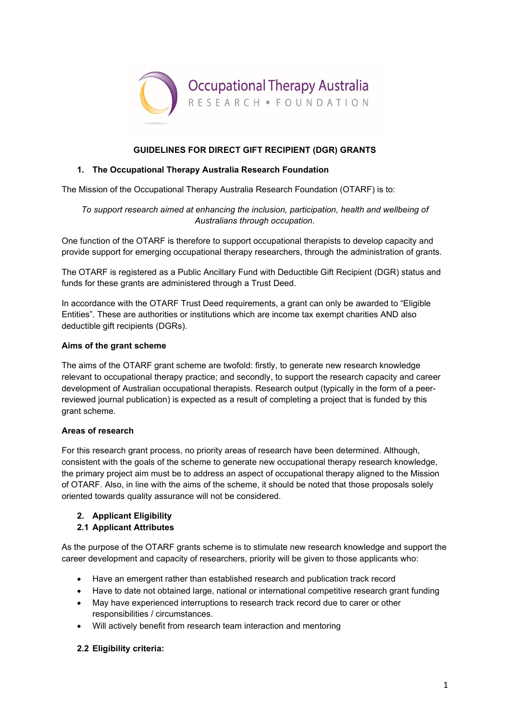

## **GUIDELINES FOR DIRECT GIFT RECIPIENT (DGR) GRANTS**

## **1. The Occupational Therapy Australia Research Foundation**

The Mission of the Occupational Therapy Australia Research Foundation (OTARF) is to:

*To support research aimed at enhancing the inclusion, participation, health and wellbeing of Australians through occupation.*

One function of the OTARF is therefore to support occupational therapists to develop capacity and provide support for emerging occupational therapy researchers, through the administration of grants.

The OTARF is registered as a Public Ancillary Fund with Deductible Gift Recipient (DGR) status and funds for these grants are administered through a Trust Deed.

In accordance with the OTARF Trust Deed requirements, a grant can only be awarded to "Eligible Entities". These are authorities or institutions which are income tax exempt charities AND also deductible gift recipients (DGRs).

#### **Aims of the grant scheme**

The aims of the OTARF grant scheme are twofold: firstly, to generate new research knowledge relevant to occupational therapy practice; and secondly, to support the research capacity and career development of Australian occupational therapists. Research output (typically in the form of a peerreviewed journal publication) is expected as a result of completing a project that is funded by this grant scheme.

#### **Areas of research**

For this research grant process, no priority areas of research have been determined. Although, consistent with the goals of the scheme to generate new occupational therapy research knowledge, the primary project aim must be to address an aspect of occupational therapy aligned to the Mission of OTARF. Also, in line with the aims of the scheme, it should be noted that those proposals solely oriented towards quality assurance will not be considered.

# **2. Applicant Eligibility**

# **2.1 Applicant Attributes**

As the purpose of the OTARF grants scheme is to stimulate new research knowledge and support the career development and capacity of researchers, priority will be given to those applicants who:

- Have an emergent rather than established research and publication track record
- Have to date not obtained large, national or international competitive research grant funding
- May have experienced interruptions to research track record due to carer or other responsibilities / circumstances.
- Will actively benefit from research team interaction and mentoring

# **2.2 Eligibility criteria:**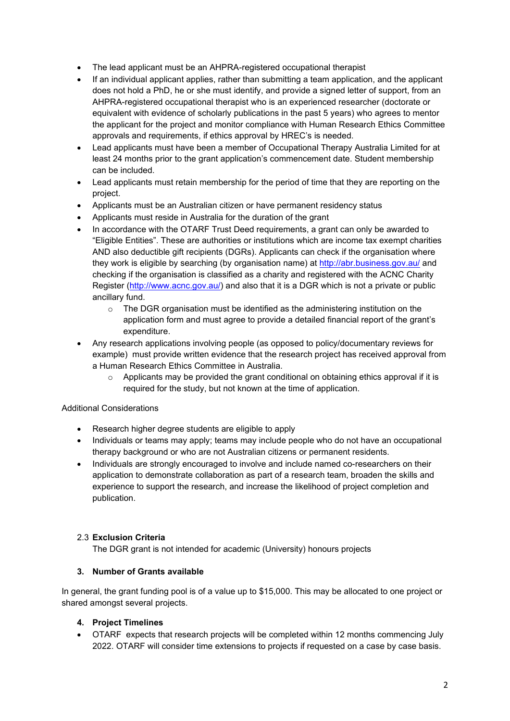- The lead applicant must be an AHPRA-registered occupational therapist
- If an individual applicant applies, rather than submitting a team application, and the applicant does not hold a PhD, he or she must identify, and provide a signed letter of support, from an AHPRA-registered occupational therapist who is an experienced researcher (doctorate or equivalent with evidence of scholarly publications in the past 5 years) who agrees to mentor the applicant for the project and monitor compliance with Human Research Ethics Committee approvals and requirements, if ethics approval by HREC's is needed.
- Lead applicants must have been a member of Occupational Therapy Australia Limited for at least 24 months prior to the grant application's commencement date. Student membership can be included.
- Lead applicants must retain membership for the period of time that they are reporting on the project.
- Applicants must be an Australian citizen or have permanent residency status
- Applicants must reside in Australia for the duration of the grant
- In accordance with the OTARF Trust Deed requirements, a grant can only be awarded to "Eligible Entities". These are authorities or institutions which are income tax exempt charities AND also deductible gift recipients (DGRs). Applicants can check if the organisation where they work is eligible by searching (by organisation name) at<http://abr.business.gov.au/> and checking if the organisation is classified as a charity and registered with the ACNC Charity Register [\(http://www.acnc.gov.au/\)](http://www.acnc.gov.au/) and also that it is a DGR which is not a private or public ancillary fund.
	- $\circ$  The DGR organisation must be identified as the administering institution on the application form and must agree to provide a detailed financial report of the grant's expenditure.
- Any research applications involving people (as opposed to policy/documentary reviews for example) must provide written evidence that the research project has received approval from a Human Research Ethics Committee in Australia.
	- $\circ$  Applicants may be provided the grant conditional on obtaining ethics approval if it is required for the study, but not known at the time of application.

#### Additional Considerations

- Research higher degree students are eligible to apply
- Individuals or teams may apply; teams may include people who do not have an occupational therapy background or who are not Australian citizens or permanent residents.
- Individuals are strongly encouraged to involve and include named co-researchers on their application to demonstrate collaboration as part of a research team, broaden the skills and experience to support the research, and increase the likelihood of project completion and publication.

# 2.3 **Exclusion Criteria**

The DGR grant is not intended for academic (University) honours projects

#### **3. Number of Grants available**

In general, the grant funding pool is of a value up to \$15,000. This may be allocated to one project or shared amongst several projects.

#### **4. Project Timelines**

• OTARF expects that research projects will be completed within 12 months commencing July 2022. OTARF will consider time extensions to projects if requested on a case by case basis.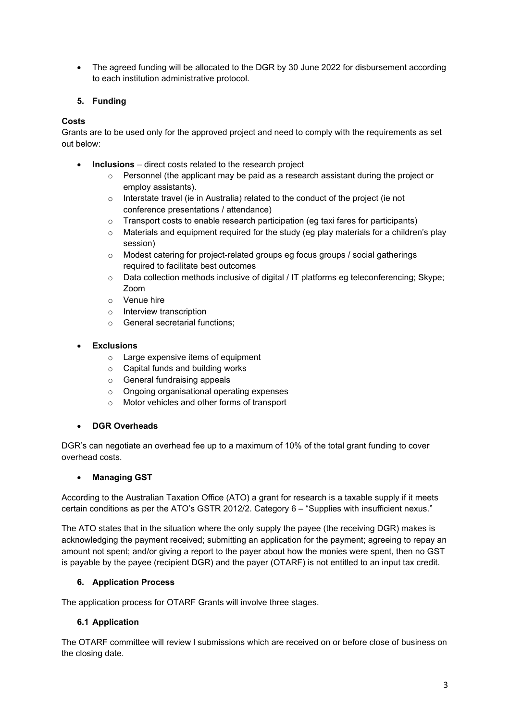• The agreed funding will be allocated to the DGR by 30 June 2022 for disbursement according to each institution administrative protocol.

# **5. Funding**

# **Costs**

Grants are to be used only for the approved project and need to comply with the requirements as set out below:

- **Inclusions** direct costs related to the research project
	- $\circ$  Personnel (the applicant may be paid as a research assistant during the project or employ assistants).
	- o Interstate travel (ie in Australia) related to the conduct of the project (ie not conference presentations / attendance)
	- $\circ$  Transport costs to enable research participation (eg taxi fares for participants)
	- o Materials and equipment required for the study (eg play materials for a children's play session)
	- o Modest catering for project-related groups eg focus groups / social gatherings required to facilitate best outcomes
	- o Data collection methods inclusive of digital / IT platforms eg teleconferencing; Skype; Zoom
	- o Venue hire
	- o Interview transcription
	- o General secretarial functions;
- **Exclusions**
	- o Large expensive items of equipment
	- o Capital funds and building works
	- o General fundraising appeals
	- o Ongoing organisational operating expenses
	- o Motor vehicles and other forms of transport

# • **DGR Overheads**

DGR's can negotiate an overhead fee up to a maximum of 10% of the total grant funding to cover overhead costs.

#### • **Managing GST**

According to the Australian Taxation Office (ATO) a grant for research is a taxable supply if it meets certain conditions as per the ATO's GSTR 2012/2. Category 6 – "Supplies with insufficient nexus."

The ATO states that in the situation where the only supply the payee (the receiving DGR) makes is acknowledging the payment received; submitting an application for the payment; agreeing to repay an amount not spent; and/or giving a report to the payer about how the monies were spent, then no GST is payable by the payee (recipient DGR) and the payer (OTARF) is not entitled to an input tax credit.

# **6. Application Process**

The application process for OTARF Grants will involve three stages.

#### **6.1 Application**

The OTARF committee will review l submissions which are received on or before close of business on the closing date.